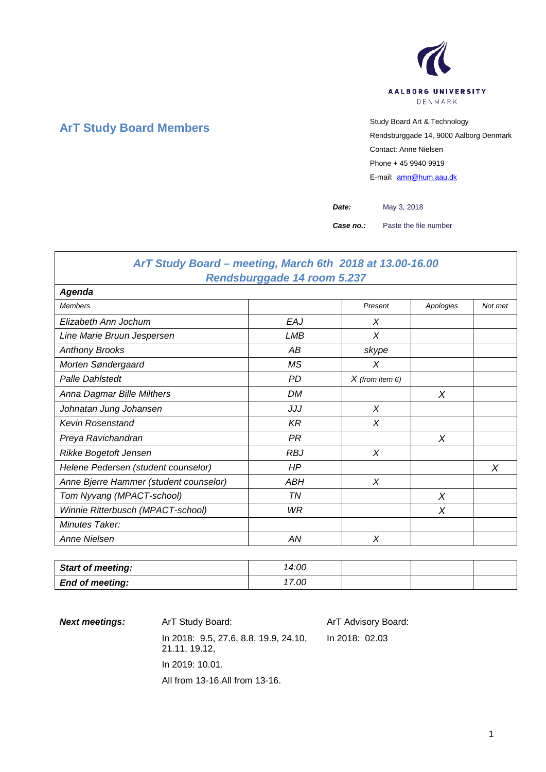

# **ArT Study Board Members** Study Board Art & Technology

Rendsburggade 14, 9000 Aalborg Denmark Contact: Anne Nielsen Phone + 45 9940 9919 E-mail: [amn@hum.aau.dk](mailto:amn@hum.aau.dk)

*Date:* May 3, 2018

*Case no.:* Paste the file number

## *ArT Study Board – meeting, March 6th 2018 at 13.00-16.00 Rendsburggade 14 room 5.237*

| Agenda                                 |            |                   |           |         |
|----------------------------------------|------------|-------------------|-----------|---------|
| <b>Members</b>                         |            | Present           | Apologies | Not met |
| Elizabeth Ann Jochum                   | EAJ        | X                 |           |         |
| Line Marie Bruun Jespersen             | LMB        | X                 |           |         |
| <b>Anthony Brooks</b>                  | АB         | skype             |           |         |
| Morten Søndergaard                     | ΜS         | X                 |           |         |
| <b>Palle Dahlstedt</b>                 | <b>PD</b>  | $X$ (from item 6) |           |         |
| Anna Dagmar Bille Milthers             | <b>DM</b>  |                   | X         |         |
| Johnatan Jung Johansen                 | JJJ        | X                 |           |         |
| <b>Kevin Rosenstand</b>                | <b>KR</b>  | X                 |           |         |
| Preya Ravichandran                     | PR         |                   | $\times$  |         |
| Rikke Bogetoft Jensen                  | <b>RBJ</b> | X                 |           |         |
| Helene Pedersen (student counselor)    | HP         |                   |           | X       |
| Anne Bjerre Hammer (student counselor) | ABH        | X                 |           |         |
| Tom Nyvang (MPACT-school)              | TN         |                   | X         |         |
| Winnie Ritterbusch (MPACT-school)      | WR         |                   | X         |         |
| Minutes Taker:                         |            |                   |           |         |
| Anne Nielsen                           | AN         | X                 |           |         |

| <b>Start of meeting:</b> | 14:00 |  |  |
|--------------------------|-------|--|--|
| <b>End of meeting:</b>   | 7.00  |  |  |

**Next meetings:** ArT Study Board: ArT Advisory Board: In 2018: 9.5, 27.6, 8.8, 19.9, 24.10, 21.11, 19.12, In 2019: 10.01. All from 13-16.All from 13-16. In 2018: 02.03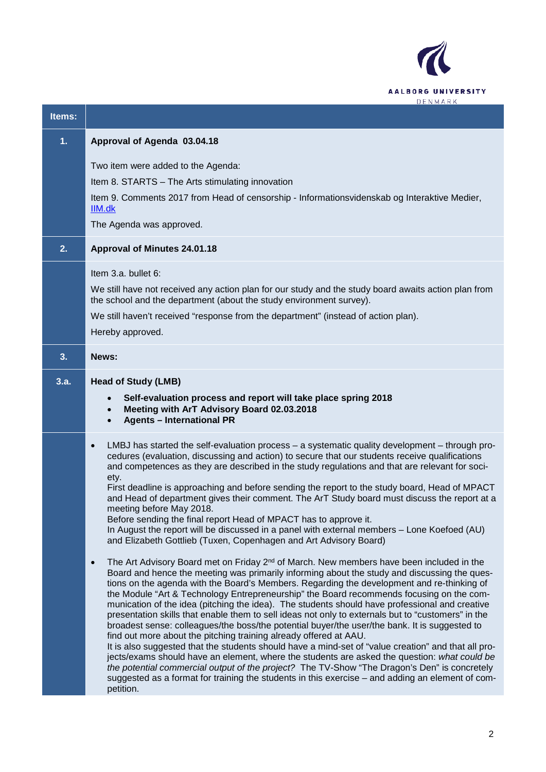

| Items: |                                                                                                                                                                                                                                                                                                                                                                                                                                                                                                                                                                                                                                                                                                                                                                                                                                                                                                                                                                                                                                                                                                                                                                                                                                                                                                                                                                                                                                                                                                                                                                                                                                                                                                                                                                                                                                                                                                                                                                                                                   |
|--------|-------------------------------------------------------------------------------------------------------------------------------------------------------------------------------------------------------------------------------------------------------------------------------------------------------------------------------------------------------------------------------------------------------------------------------------------------------------------------------------------------------------------------------------------------------------------------------------------------------------------------------------------------------------------------------------------------------------------------------------------------------------------------------------------------------------------------------------------------------------------------------------------------------------------------------------------------------------------------------------------------------------------------------------------------------------------------------------------------------------------------------------------------------------------------------------------------------------------------------------------------------------------------------------------------------------------------------------------------------------------------------------------------------------------------------------------------------------------------------------------------------------------------------------------------------------------------------------------------------------------------------------------------------------------------------------------------------------------------------------------------------------------------------------------------------------------------------------------------------------------------------------------------------------------------------------------------------------------------------------------------------------------|
| 1.     | Approval of Agenda 03.04.18                                                                                                                                                                                                                                                                                                                                                                                                                                                                                                                                                                                                                                                                                                                                                                                                                                                                                                                                                                                                                                                                                                                                                                                                                                                                                                                                                                                                                                                                                                                                                                                                                                                                                                                                                                                                                                                                                                                                                                                       |
|        | Two item were added to the Agenda:<br>Item 8. STARTS - The Arts stimulating innovation<br>Item 9. Comments 2017 from Head of censorship - Informationsvidenskab og Interaktive Medier,<br>IIM.dk<br>The Agenda was approved.                                                                                                                                                                                                                                                                                                                                                                                                                                                                                                                                                                                                                                                                                                                                                                                                                                                                                                                                                                                                                                                                                                                                                                                                                                                                                                                                                                                                                                                                                                                                                                                                                                                                                                                                                                                      |
| 2.     | Approval of Minutes 24.01.18                                                                                                                                                                                                                                                                                                                                                                                                                                                                                                                                                                                                                                                                                                                                                                                                                                                                                                                                                                                                                                                                                                                                                                                                                                                                                                                                                                                                                                                                                                                                                                                                                                                                                                                                                                                                                                                                                                                                                                                      |
|        | Item $3.a.$ bullet $6:$<br>We still have not received any action plan for our study and the study board awaits action plan from<br>the school and the department (about the study environment survey).<br>We still haven't received "response from the department" (instead of action plan).<br>Hereby approved.                                                                                                                                                                                                                                                                                                                                                                                                                                                                                                                                                                                                                                                                                                                                                                                                                                                                                                                                                                                                                                                                                                                                                                                                                                                                                                                                                                                                                                                                                                                                                                                                                                                                                                  |
| 3.     | News:                                                                                                                                                                                                                                                                                                                                                                                                                                                                                                                                                                                                                                                                                                                                                                                                                                                                                                                                                                                                                                                                                                                                                                                                                                                                                                                                                                                                                                                                                                                                                                                                                                                                                                                                                                                                                                                                                                                                                                                                             |
| 3.a.   | <b>Head of Study (LMB)</b><br>Self-evaluation process and report will take place spring 2018<br>$\bullet$<br>Meeting with ArT Advisory Board 02.03.2018<br>$\bullet$<br><b>Agents - International PR</b><br>$\bullet$                                                                                                                                                                                                                                                                                                                                                                                                                                                                                                                                                                                                                                                                                                                                                                                                                                                                                                                                                                                                                                                                                                                                                                                                                                                                                                                                                                                                                                                                                                                                                                                                                                                                                                                                                                                             |
|        | LMBJ has started the self-evaluation process - a systematic quality development - through pro-<br>$\bullet$<br>cedures (evaluation, discussing and action) to secure that our students receive qualifications<br>and competences as they are described in the study regulations and that are relevant for soci-<br>ety.<br>First deadline is approaching and before sending the report to the study board, Head of MPACT<br>and Head of department gives their comment. The ArT Study board must discuss the report at a<br>meeting before May 2018.<br>Before sending the final report Head of MPACT has to approve it.<br>In August the report will be discussed in a panel with external members - Lone Koefoed (AU)<br>and Elizabeth Gottlieb (Tuxen, Copenhagen and Art Advisory Board)<br>The Art Advisory Board met on Friday 2 <sup>nd</sup> of March. New members have been included in the<br>$\bullet$<br>Board and hence the meeting was primarily informing about the study and discussing the ques-<br>tions on the agenda with the Board's Members. Regarding the development and re-thinking of<br>the Module "Art & Technology Entrepreneurship" the Board recommends focusing on the com-<br>munication of the idea (pitching the idea). The students should have professional and creative<br>presentation skills that enable them to sell ideas not only to externals but to "customers" in the<br>broadest sense: colleagues/the boss/the potential buyer/the user/the bank. It is suggested to<br>find out more about the pitching training already offered at AAU.<br>It is also suggested that the students should have a mind-set of "value creation" and that all pro-<br>jects/exams should have an element, where the students are asked the question: what could be<br>the potential commercial output of the project? The TV-Show "The Dragon's Den" is concretely<br>suggested as a format for training the students in this exercise - and adding an element of com-<br>petition. |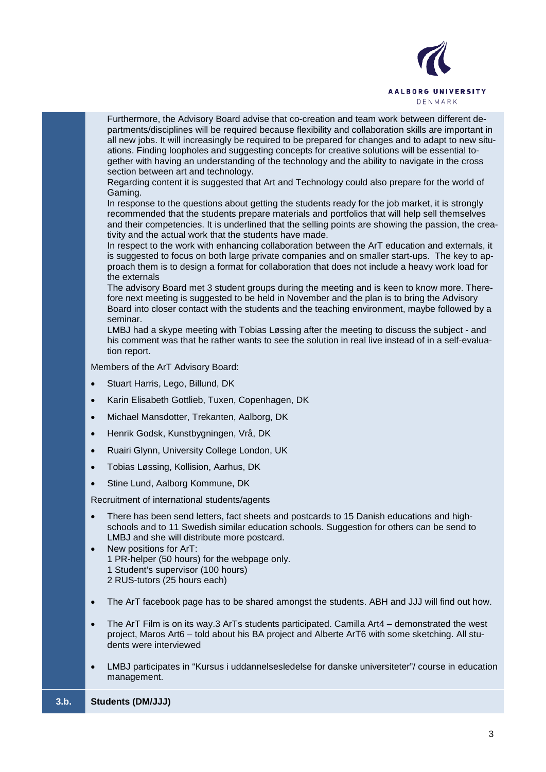

Furthermore, the Advisory Board advise that co-creation and team work between different departments/disciplines will be required because flexibility and collaboration skills are important in all new jobs. It will increasingly be required to be prepared for changes and to adapt to new situations. Finding loopholes and suggesting concepts for creative solutions will be essential together with having an understanding of the technology and the ability to navigate in the cross section between art and technology.

Regarding content it is suggested that Art and Technology could also prepare for the world of Gaming.

In response to the questions about getting the students ready for the job market, it is strongly recommended that the students prepare materials and portfolios that will help sell themselves and their competencies. It is underlined that the selling points are showing the passion, the creativity and the actual work that the students have made.

In respect to the work with enhancing collaboration between the ArT education and externals, it is suggested to focus on both large private companies and on smaller start-ups. The key to approach them is to design a format for collaboration that does not include a heavy work load for the externals

The advisory Board met 3 student groups during the meeting and is keen to know more. Therefore next meeting is suggested to be held in November and the plan is to bring the Advisory Board into closer contact with the students and the teaching environment, maybe followed by a seminar.

LMBJ had a skype meeting with Tobias Løssing after the meeting to discuss the subject - and his comment was that he rather wants to see the solution in real live instead of in a self-evaluation report.

Members of the ArT Advisory Board:

- Stuart Harris, Lego, Billund, DK
- Karin Elisabeth Gottlieb, Tuxen, Copenhagen, DK
- Michael Mansdotter, Trekanten, Aalborg, DK
- Henrik Godsk, Kunstbygningen, Vrå, DK
- Ruairi Glynn, University College London, UK
- Tobias Løssing, Kollision, Aarhus, DK
- Stine Lund, Aalborg Kommune, DK

Recruitment of international students/agents

- There has been send letters, fact sheets and postcards to 15 Danish educations and highschools and to 11 Swedish similar education schools. Suggestion for others can be send to LMBJ and she will distribute more postcard.
- New positions for ArT: 1 PR-helper (50 hours) for the webpage only. 1 Student's supervisor (100 hours) 2 RUS-tutors (25 hours each)
- The ArT facebook page has to be shared amongst the students. ABH and JJJ will find out how.
- The ArT Film is on its way.3 ArTs students participated. Camilla Art4 demonstrated the west project, Maros Art6 – told about his BA project and Alberte ArT6 with some sketching. All students were interviewed
- LMBJ participates in "Kursus i uddannelsesledelse for danske universiteter"/ course in education management.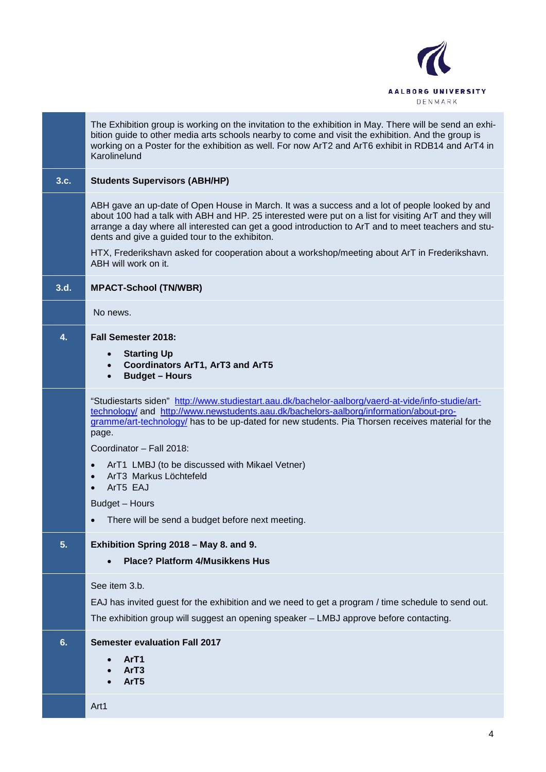

|      | The Exhibition group is working on the invitation to the exhibition in May. There will be send an exhi-<br>bition guide to other media arts schools nearby to come and visit the exhibition. And the group is<br>working on a Poster for the exhibition as well. For now ArT2 and ArT6 exhibit in RDB14 and ArT4 in<br>Karolinelund                                                                                                                                   |
|------|-----------------------------------------------------------------------------------------------------------------------------------------------------------------------------------------------------------------------------------------------------------------------------------------------------------------------------------------------------------------------------------------------------------------------------------------------------------------------|
| 3.c. | <b>Students Supervisors (ABH/HP)</b>                                                                                                                                                                                                                                                                                                                                                                                                                                  |
|      | ABH gave an up-date of Open House in March. It was a success and a lot of people looked by and<br>about 100 had a talk with ABH and HP. 25 interested were put on a list for visiting ArT and they will<br>arrange a day where all interested can get a good introduction to ArT and to meet teachers and stu-<br>dents and give a guided tour to the exhibiton.<br>HTX, Frederikshavn asked for cooperation about a workshop/meeting about ArT in Frederikshavn.     |
|      | ABH will work on it.                                                                                                                                                                                                                                                                                                                                                                                                                                                  |
| 3.d. | <b>MPACT-School (TN/WBR)</b>                                                                                                                                                                                                                                                                                                                                                                                                                                          |
|      | No news.                                                                                                                                                                                                                                                                                                                                                                                                                                                              |
| 4.   | <b>Fall Semester 2018:</b>                                                                                                                                                                                                                                                                                                                                                                                                                                            |
|      | <b>Starting Up</b><br><b>Coordinators ArT1, ArT3 and ArT5</b><br>$\bullet$<br><b>Budget - Hours</b><br>$\bullet$                                                                                                                                                                                                                                                                                                                                                      |
|      | "Studiestarts siden" http://www.studiestart.aau.dk/bachelor-aalborg/vaerd-at-vide/info-studie/art-<br>technology/ and http://www.newstudents.aau.dk/bachelors-aalborg/information/about-pro-<br>gramme/art-technology/ has to be up-dated for new students. Pia Thorsen receives material for the<br>page.<br>Coordinator - Fall 2018:<br>ArT1 LMBJ (to be discussed with Mikael Vetner)<br>$\bullet$<br>ArT3 Markus Löchtefeld<br>$\bullet$<br>ArT5 EAJ<br>$\bullet$ |
|      | Budget - Hours                                                                                                                                                                                                                                                                                                                                                                                                                                                        |
|      | There will be send a budget before next meeting.                                                                                                                                                                                                                                                                                                                                                                                                                      |
| 5.   | Exhibition Spring 2018 - May 8. and 9.<br><b>Place? Platform 4/Musikkens Hus</b>                                                                                                                                                                                                                                                                                                                                                                                      |
|      | See item 3.b.<br>EAJ has invited guest for the exhibition and we need to get a program / time schedule to send out.<br>The exhibition group will suggest an opening speaker - LMBJ approve before contacting.                                                                                                                                                                                                                                                         |
| 6.   | <b>Semester evaluation Fall 2017</b><br>ArT1<br>ArT3<br>ArT <sub>5</sub>                                                                                                                                                                                                                                                                                                                                                                                              |
|      | Art1                                                                                                                                                                                                                                                                                                                                                                                                                                                                  |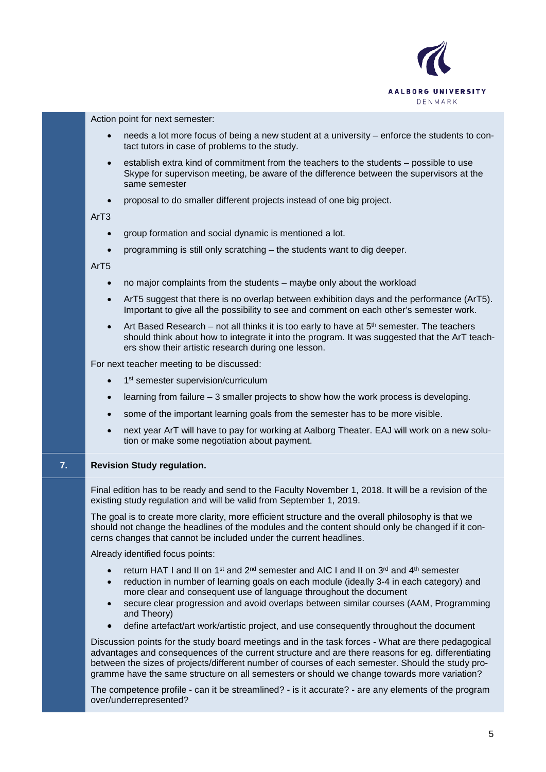

Action point for next semester:

- needs a lot more focus of being a new student at a university enforce the students to contact tutors in case of problems to the study.
- establish extra kind of commitment from the teachers to the students possible to use Skype for supervison meeting, be aware of the difference between the supervisors at the same semester
- proposal to do smaller different projects instead of one big project.

ArT3

- group formation and social dynamic is mentioned a lot.
- programming is still only scratching the students want to dig deeper.

ArT5

- no major complaints from the students maybe only about the workload
- ArT5 suggest that there is no overlap between exhibition days and the performance (ArT5). Important to give all the possibility to see and comment on each other's semester work.
- Art Based Research not all thinks it is too early to have at  $5<sup>th</sup>$  semester. The teachers should think about how to integrate it into the program. It was suggested that the ArT teachers show their artistic research during one lesson.

For next teacher meeting to be discussed:

- 1<sup>st</sup> semester supervision/curriculum
- learning from failure 3 smaller projects to show how the work process is developing.
- some of the important learning goals from the semester has to be more visible.
- next year ArT will have to pay for working at Aalborg Theater. EAJ will work on a new solution or make some negotiation about payment.

#### **7. Revision Study regulation.**

Final edition has to be ready and send to the Faculty November 1, 2018. It will be a revision of the existing study regulation and will be valid from September 1, 2019.

The goal is to create more clarity, more efficient structure and the overall philosophy is that we should not change the headlines of the modules and the content should only be changed if it concerns changes that cannot be included under the current headlines.

Already identified focus points:

- return HAT I and II on 1<sup>st</sup> and 2<sup>nd</sup> semester and AIC I and II on 3<sup>rd</sup> and 4<sup>th</sup> semester
- reduction in number of learning goals on each module (ideally 3-4 in each category) and more clear and consequent use of language throughout the document
- secure clear progression and avoid overlaps between similar courses (AAM, Programming and Theory)
- define artefact/art work/artistic project, and use consequently throughout the document

Discussion points for the study board meetings and in the task forces - What are there pedagogical advantages and consequences of the current structure and are there reasons for eg. differentiating between the sizes of projects/different number of courses of each semester. Should the study programme have the same structure on all semesters or should we change towards more variation?

The competence profile - can it be streamlined? - is it accurate? - are any elements of the program over/underrepresented?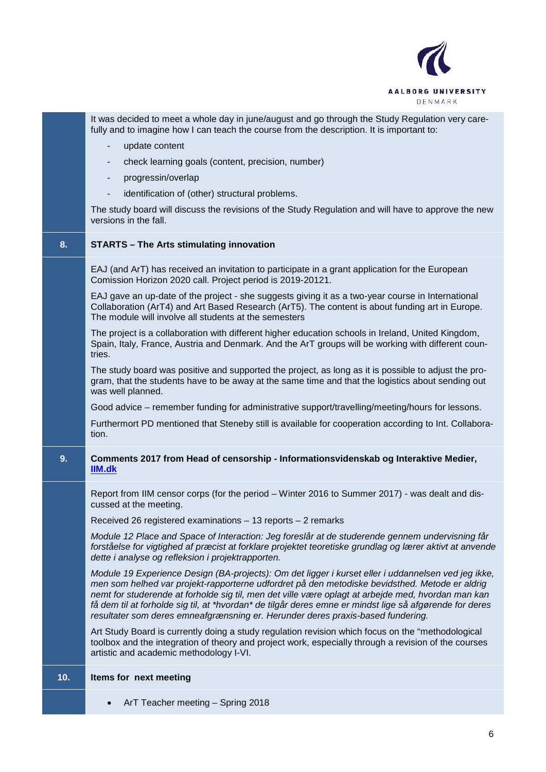

It was decided to meet a whole day in june/august and go through the Study Regulation very carefully and to imagine how I can teach the course from the description. It is important to:

- update content
- check learning goals (content, precision, number)
- progressin/overlap
- identification of (other) structural problems.

The study board will discuss the revisions of the Study Regulation and will have to approve the new versions in the fall.

### **8. STARTS – The Arts stimulating innovation**

EAJ (and ArT) has received an invitation to participate in a grant application for the European Comission Horizon 2020 call. Project period is 2019-20121.

EAJ gave an up-date of the project - she suggests giving it as a two-year course in International Collaboration (ArT4) and Art Based Research (ArT5). The content is about funding art in Europe. The module will involve all students at the semesters

The project is a collaboration with different higher education schools in Ireland, United Kingdom, Spain, Italy, France, Austria and Denmark. And the ArT groups will be working with different countries.

The study board was positive and supported the project, as long as it is possible to adjust the program, that the students have to be away at the same time and that the logistics about sending out was well planned.

Good advice – remember funding for administrative support/travelling/meeting/hours for lessons.

Furthermort PD mentioned that Steneby still is available for cooperation according to Int. Collaboration.

### **9. Comments 2017 from Head of censorship - Informationsvidenskab og Interaktive Medier, [IIM.dk](http://iim.dk/)**

Report from IIM censor corps (for the period – Winter 2016 to Summer 2017) - was dealt and discussed at the meeting.

Received 26 registered examinations – 13 reports – 2 remarks

*Module 12 Place and Space of Interaction: Jeg foreslår at de studerende gennem undervisning får*  forståelse for vigtighed af præcist at forklare projektet teoretiske grundlag og lærer aktivt at anvende *dette i analyse og refleksion i projektrapporten.*

*Module 19 Experience Design (BA-projects): Om det ligger i kurset eller i uddannelsen ved jeg ikke, men som helhed var projekt-rapporterne udfordret på den metodiske bevidsthed. Metode er aldrig nemt for studerende at forholde sig til, men det ville være oplagt at arbejde med, hvordan man kan få dem til at forholde sig til, at \*hvordan\* de tilgår deres emne er mindst lige så afgørende for deres resultater som deres emneafgrænsning er. Herunder deres praxis-based fundering.*

Art Study Board is currently doing a study regulation revision which focus on the "methodological toolbox and the integration of theory and project work, especially through a revision of the courses artistic and academic methodology I-VI.

### **10. Items for next meeting**

• ArT Teacher meeting – Spring 2018